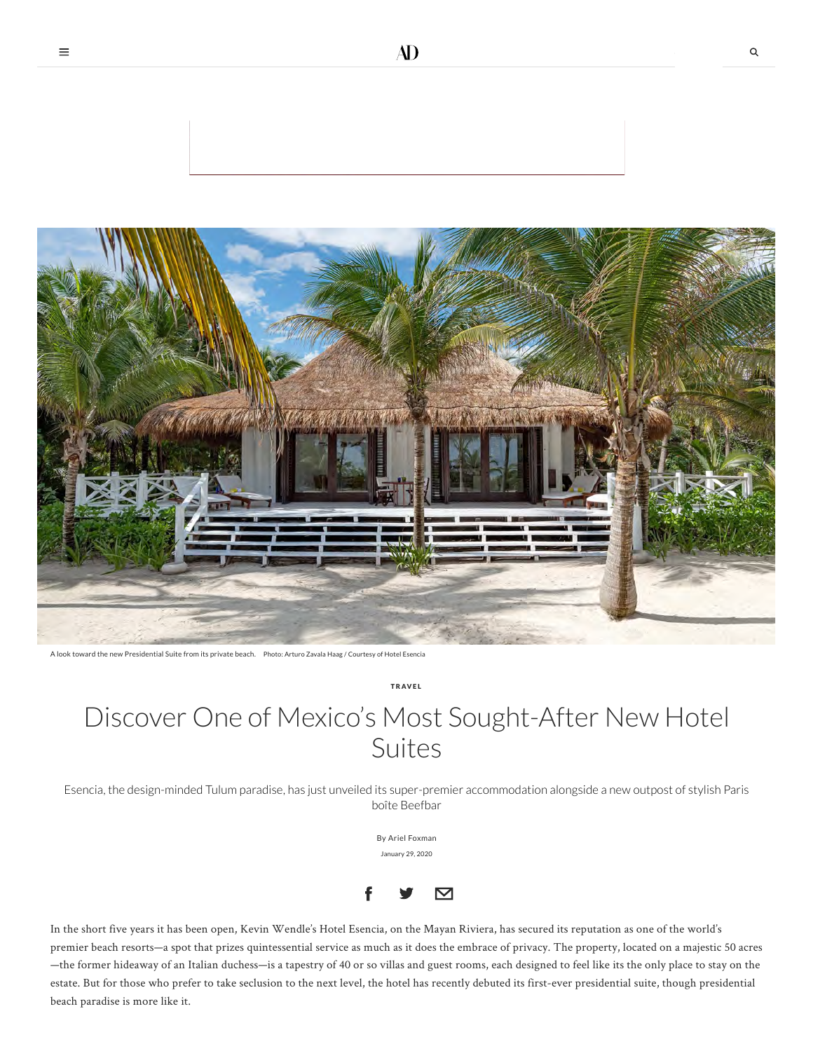

A look toward the new Presidential Suite from its private beach. Photo: Arturo Zavala Haag / Courtesy of Hotel Esencia

T R AV E L

## Discover One of Mexico's Most Sought-After New Hotel Suites

Esencia, the design-minded Tulum paradise, has just unveiled its super-premier accommodation alongside a new outpost of stylish Paris boîte Beefbar

> By [Ariel Foxman](https://www.architecturaldigest.com/contributor/ariel-foxman) January 29, 2020



In the short five years it has been open, Kevin Wendle's Hotel Esencia, on the Mayan Riviera, has secured its reputation as one of the world's premier beach resorts—a spot that prizes quintessential service as much as it does the embrace of privacy. The property, located on a majestic 50 acres —the former hideaway of an Italian duchess—is a tapestry of 40 or so villas and guest rooms, each designed to feel like its the only place to stay on the estate. But for those who prefer to take seclusion to the next level, the hotel has recently debuted its first-ever presidential suite, though presidential beach paradise is more like it.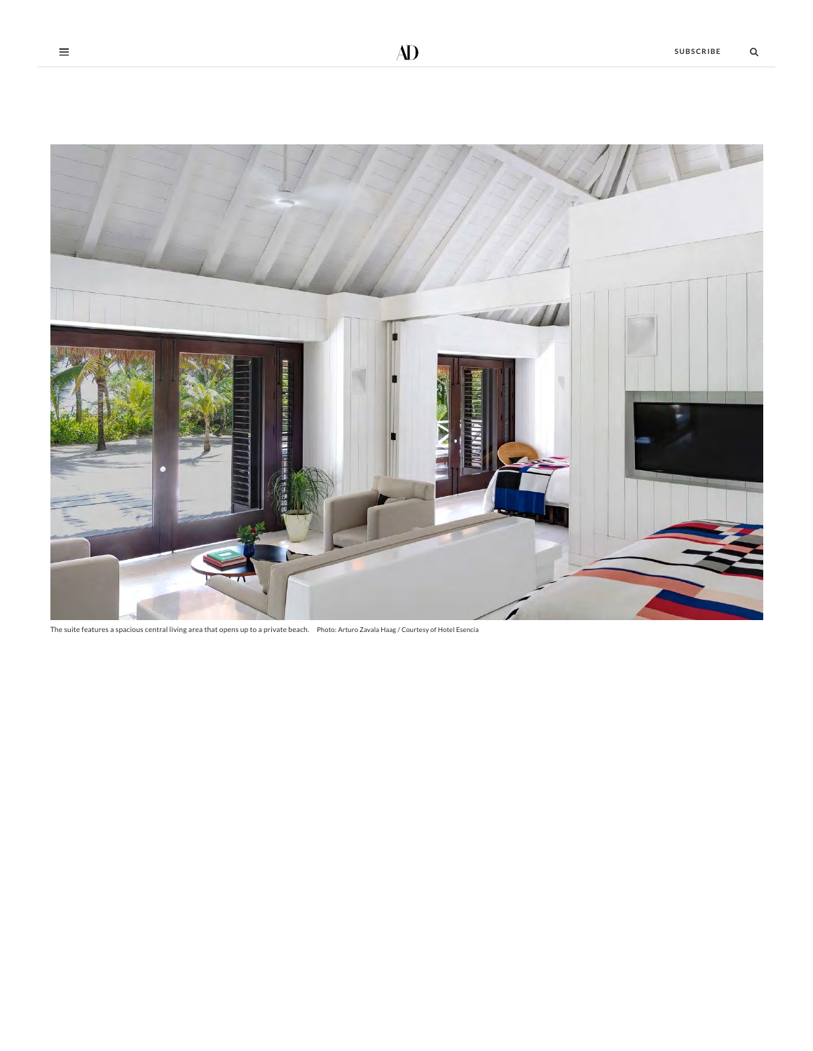

The suite features a spacious central living area that opens up to a private beach. Photo: Arturo Zavala Haag / Courtesy of Hotel Esencia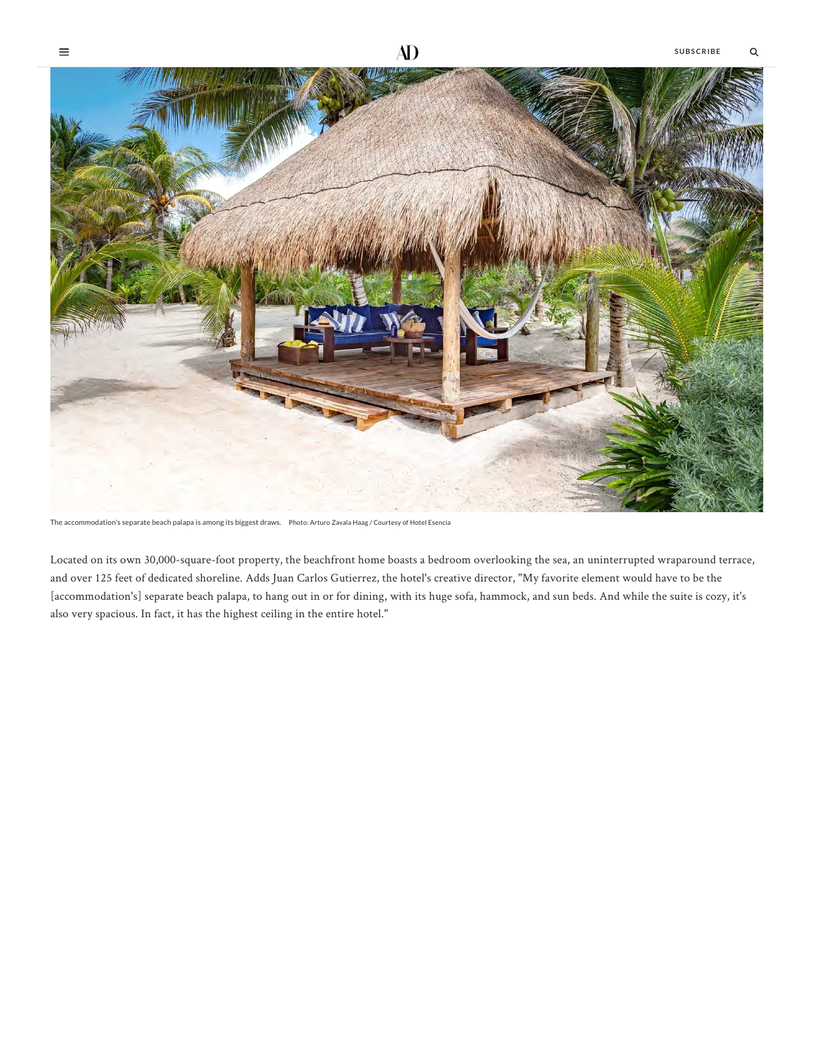

 $\equiv$ 



The accommodation's separate beach palapa is among its biggest draws. Photo: Arturo Zavala Haag / Courtesy of Hotel Esencia

Located on its own 30,000-square-foot property, the beachfront home boasts a bedroom overlooking the sea, an uninterrupted wraparound terrace, and over 125 feet of dedicated shoreline. Adds Juan Carlos Gutierrez, the hotel's creative director, "My favorite element would have to be the [accommodation's] separate beach palapa, to hang out in or for dining, with its huge sofa, hammock, and sun beds. And while the suite is cozy, it's also very spacious. In fact, it has the highest ceiling in the entire hotel."